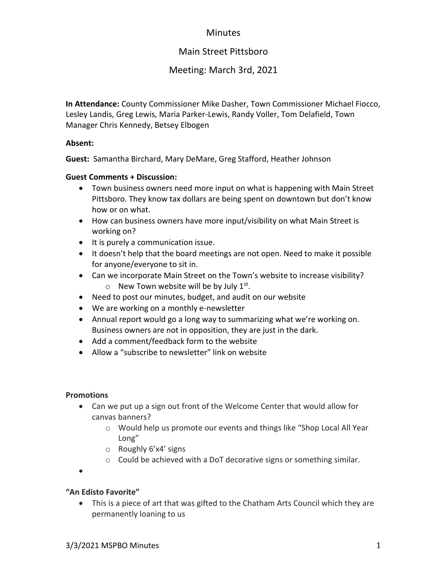# **Minutes**

# Main Street Pittsboro

# Meeting: March 3rd, 2021

**In Attendance:** County Commissioner Mike Dasher, Town Commissioner Michael Fiocco, Lesley Landis, Greg Lewis, Maria Parker-Lewis, Randy Voller, Tom Delafield, Town Manager Chris Kennedy, Betsey Elbogen

### **Absent:**

**Guest:** Samantha Birchard, Mary DeMare, Greg Stafford, Heather Johnson

### **Guest Comments + Discussion:**

- Town business owners need more input on what is happening with Main Street Pittsboro. They know tax dollars are being spent on downtown but don't know how or on what.
- How can business owners have more input/visibility on what Main Street is working on?
- It is purely a communication issue.
- It doesn't help that the board meetings are not open. Need to make it possible for anyone/everyone to sit in.
- Can we incorporate Main Street on the Town's website to increase visibility?  $\circ$  New Town website will be by July 1st.
- Need to post our minutes, budget, and audit on our website
- We are working on a monthly e-newsletter
- Annual report would go a long way to summarizing what we're working on. Business owners are not in opposition, they are just in the dark.
- Add a comment/feedback form to the website
- Allow a "subscribe to newsletter" link on website

## **Promotions**

- Can we put up a sign out front of the Welcome Center that would allow for canvas banners?
	- o Would help us promote our events and things like "Shop Local All Year Long"
	- o Roughly 6'x4' signs
	- $\circ$  Could be achieved with a DoT decorative signs or something similar.

•

## **"An Edisto Favorite"**

• This is a piece of art that was gifted to the Chatham Arts Council which they are permanently loaning to us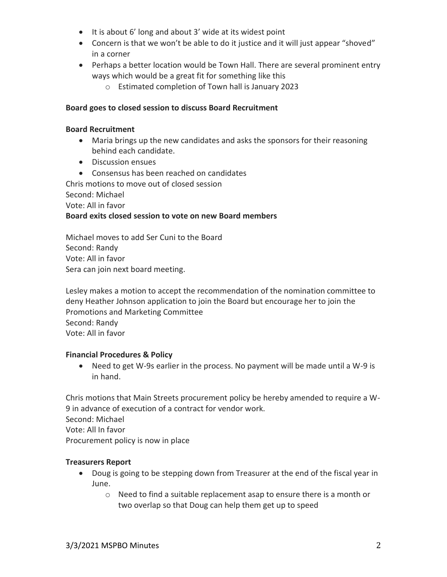- It is about 6' long and about 3' wide at its widest point
- Concern is that we won't be able to do it justice and it will just appear "shoved" in a corner
- Perhaps a better location would be Town Hall. There are several prominent entry ways which would be a great fit for something like this
	- o Estimated completion of Town hall is January 2023

### **Board goes to closed session to discuss Board Recruitment**

#### **Board Recruitment**

- Maria brings up the new candidates and asks the sponsors for their reasoning behind each candidate.
- Discussion ensues
- Consensus has been reached on candidates

Chris motions to move out of closed session Second: Michael

Vote: All in favor

### **Board exits closed session to vote on new Board members**

Michael moves to add Ser Cuni to the Board Second: Randy Vote: All in favor Sera can join next board meeting.

Lesley makes a motion to accept the recommendation of the nomination committee to deny Heather Johnson application to join the Board but encourage her to join the Promotions and Marketing Committee Second: Randy Vote: All in favor

#### **Financial Procedures & Policy**

• Need to get W-9s earlier in the process. No payment will be made until a W-9 is in hand.

Chris motions that Main Streets procurement policy be hereby amended to require a W-9 in advance of execution of a contract for vendor work. Second: Michael Vote: All In favor Procurement policy is now in place

## **Treasurers Report**

- Doug is going to be stepping down from Treasurer at the end of the fiscal year in June.
	- o Need to find a suitable replacement asap to ensure there is a month or two overlap so that Doug can help them get up to speed